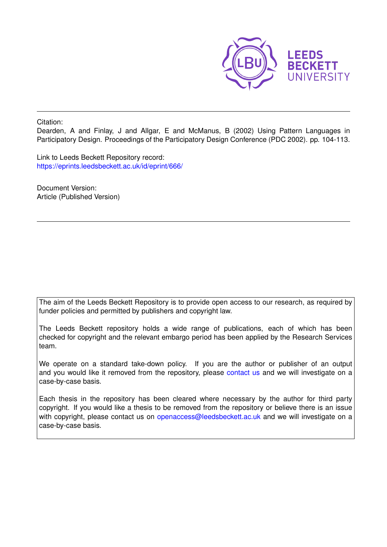

Citation:

Dearden, A and Finlay, J and Allgar, E and McManus, B (2002) Using Pattern Languages in Participatory Design. Proceedings of the Participatory Design Conference (PDC 2002). pp. 104-113.

Link to Leeds Beckett Repository record: <https://eprints.leedsbeckett.ac.uk/id/eprint/666/>

Document Version: Article (Published Version)

The aim of the Leeds Beckett Repository is to provide open access to our research, as required by funder policies and permitted by publishers and copyright law.

The Leeds Beckett repository holds a wide range of publications, each of which has been checked for copyright and the relevant embargo period has been applied by the Research Services team.

We operate on a standard take-down policy. If you are the author or publisher of an output and you would like it removed from the repository, please [contact us](mailto:openaccess@leedsbeckett.ac.uk) and we will investigate on a case-by-case basis.

Each thesis in the repository has been cleared where necessary by the author for third party copyright. If you would like a thesis to be removed from the repository or believe there is an issue with copyright, please contact us on [openaccess@leedsbeckett.ac.uk](mailto:openaccess@leedsbeckett.ac.uk) and we will investigate on a case-by-case basis.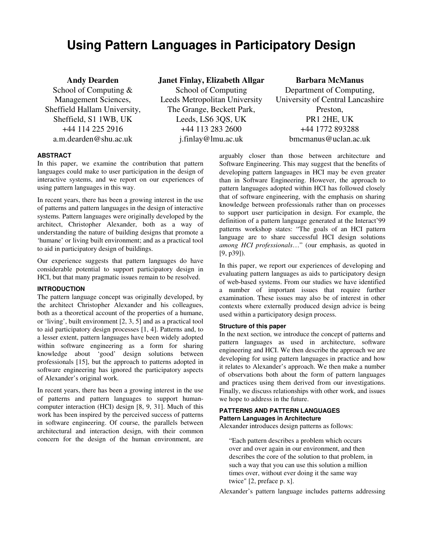# **Using Pattern Languages in Participatory Design**

School of Computing & Management Sciences, Sheffield Hallam University, Sheffield, S1 1WB, UK +44 114 225 2916

# **Andy Dearden Janet Finlay, Elizabeth Allgar Barbara McManus**

School of Computing Leeds Metropolitan University The Grange, Beckett Park, Leeds, LS6 3QS, UK +44 113 283 2600 a.m.dearden@shu.ac.uk j.finlay@lmu.ac.uk bmcmanus@uclan.ac.uk

Department of Computing, University of Central Lancashire Preston, PR1 2HE, UK +44 1772 893288

# **ABSTRACT**

In this paper, we examine the contribution that pattern languages could make to user participation in the design of interactive systems, and we report on our experiences of using pattern languages in this way.

In recent years, there has been a growing interest in the use of patterns and pattern languages in the design of interactive systems. Pattern languages were originally developed by the architect, Christopher Alexander, both as a way of understanding the nature of building designs that promote a 'humane' or living built environment; and as a practical tool to aid in participatory design of buildings.

Our experience suggests that pattern languages do have considerable potential to support participatory design in HCI, but that many pragmatic issues remain to be resolved.

# **INTRODUCTION**

The pattern language concept was originally developed, by the architect Christopher Alexander and his colleagues, both as a theoretical account of the properties of a humane, or 'living', built environment [2, 3, 5] and as a practical tool to aid participatory design processes [1, 4]. Patterns and, to a lesser extent, pattern languages have been widely adopted within software engineering as a form for sharing knowledge about 'good' design solutions between professionals [15], but the approach to patterns adopted in software engineering has ignored the participatory aspects of Alexander's original work.

In recent years, there has been a growing interest in the use of patterns and pattern languages to support humancomputer interaction (HCI) design [8, 9, 31]. Much of this work has been inspired by the perceived success of patterns in software engineering. Of course, the parallels between architectural and interaction design, with their common concern for the design of the human environment, are

arguably closer than those between architecture and Software Engineering. This may suggest that the benefits of developing pattern languages in HCI may be even greater than in Software Engineering. However, the approach to pattern languages adopted within HCI has followed closely that of software engineering, with the emphasis on sharing knowledge between professionals rather than on processes to support user participation in design. For example, the definition of a pattern language generated at the Interact'99 patterns workshop states: "The goals of an HCI pattern language are to share successful HCI design solutions *among HCI professionals*…" (our emphasis, as quoted in [9, p39]).

In this paper, we report our experiences of developing and evaluating pattern languages as aids to participatory design of web-based systems. From our studies we have identified a number of important issues that require further examination. These issues may also be of interest in other contexts where externally produced design advice is being used within a participatory design process.

# **Structure of this paper**

In the next section, we introduce the concept of patterns and pattern languages as used in architecture, software engineering and HCI. We then describe the approach we are developing for using pattern languages in practice and how it relates to Alexander's approach. We then make a number of observations both about the form of pattern languages and practices using them derived from our investigations. Finally, we discuss relationships with other work, and issues we hope to address in the future.

# **PATTERNS AND PATTERN LANGUAGES**

# **Pattern Languages in Architecture**

Alexander introduces design patterns as follows:

"Each pattern describes a problem which occurs over and over again in our environment, and then describes the core of the solution to that problem, in such a way that you can use this solution a million times over, without ever doing it the same way twice" [2, preface p. x].

Alexander's pattern language includes patterns addressing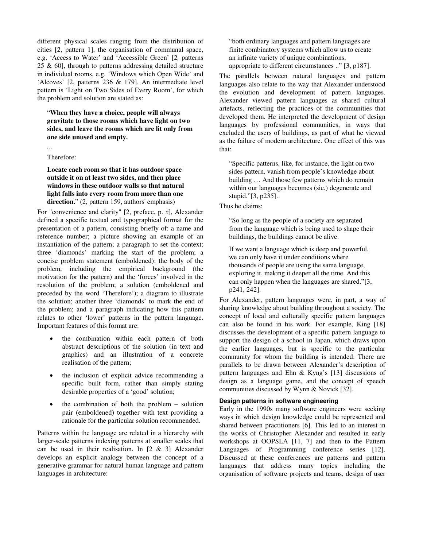different physical scales ranging from the distribution of cities [2, pattern 1], the organisation of communal space, e.g. 'Access to Water' and 'Accessible Green' [2*,* patterns 25 & 60], through to patterns addressing detailed structure in individual rooms, e.g. 'Windows which Open Wide' and 'Alcoves' [2, patterns 236 & 179]. An intermediate level pattern is 'Light on Two Sides of Every Room', for which the problem and solution are stated as:

"**When they have a choice, people will always gravitate to those rooms which have light on two sides, and leave the rooms which are lit only from one side unused and empty.**

Therefore:

*…* 

**Locate each room so that it has outdoor space outside it on at least two sides, and then place windows in these outdoor walls so that natural light falls into every room from more than one**  direction." (2, pattern 159, authors' emphasis)

For "convenience and clarity" [2, preface, p. *x*], Alexander defined a specific textual and typographical format for the presentation of a pattern, consisting briefly of: a name and reference number; a picture showing an example of an instantiation of the pattern; a paragraph to set the context; three 'diamonds' marking the start of the problem; a concise problem statement (emboldened); the body of the problem, including the empirical background (the motivation for the pattern) and the 'forces' involved in the resolution of the problem; a solution (emboldened and preceded by the word 'Therefore'); a diagram to illustrate the solution; another three 'diamonds' to mark the end of the problem; and a paragraph indicating how this pattern relates to other 'lower' patterns in the pattern language. Important features of this format are:

- the combination within each pattern of both abstract descriptions of the solution (in text and graphics) and an illustration of a concrete realisation of the pattern;
- the inclusion of explicit advice recommending a specific built form, rather than simply stating desirable properties of a 'good' solution;
- the combination of both the problem  $-$  solution pair (emboldened) together with text providing a rationale for the particular solution recommended.

Patterns within the language are related in a hierarchy with larger-scale patterns indexing patterns at smaller scales that can be used in their realisation. In  $[2 \& 3]$  Alexander develops an explicit analogy between the concept of a generative grammar for natural human language and pattern languages in architecture:

"both ordinary languages and pattern languages are finite combinatory systems which allow us to create an infinite variety of unique combinations, appropriate to different circumstances .." [3, p187].

The parallels between natural languages and pattern languages also relate to the way that Alexander understood the evolution and development of pattern languages. Alexander viewed pattern languages as shared cultural artefacts, reflecting the practices of the communities that developed them. He interpreted the development of design languages by professional communities, in ways that excluded the users of buildings, as part of what he viewed as the failure of modern architecture. One effect of this was that:

"Specific patterns, like, for instance, the light on two sides pattern, vanish from people's knowledge about building … And those few patterns which do remain within our languages becomes (sic.) degenerate and stupid."[3, p235].

Thus he claims:

"So long as the people of a society are separated from the language which is being used to shape their buildings, the buildings cannot be alive.

If we want a language which is deep and powerful, we can only have it under conditions where thousands of people are using the same language, exploring it, making it deeper all the time. And this can only happen when the languages are shared."[3, p241, 242].

For Alexander, pattern languages were, in part, a way of sharing knowledge about building throughout a society. The concept of local and culturally specific pattern languages can also be found in his work. For example, King [18] discusses the development of a specific pattern language to support the design of a school in Japan, which draws upon the earlier languages, but is specific to the particular community for whom the building is intended. There are parallels to be drawn between Alexander's description of pattern languages and Ehn & Kyng's [13] discussions of design as a language game, and the concept of speech communities discussed by Wynn & Novick [32].

#### **Design patterns in software engineering**

Early in the 1990s many software engineers were seeking ways in which design knowledge could be represented and shared between practitioners [6]. This led to an interest in the works of Christopher Alexander and resulted in early workshops at OOPSLA [11, 7] and then to the Pattern Languages of Programming conference series [12]. Discussed at these conferences are patterns and pattern languages that address many topics including the organisation of software projects and teams, design of user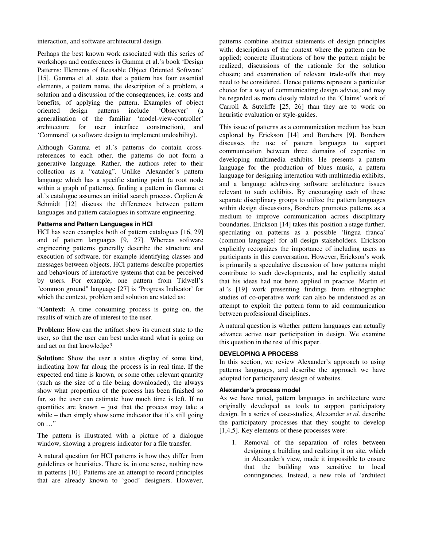interaction, and software architectural design.

Perhaps the best known work associated with this series of workshops and conferences is Gamma et al.'s book 'Design Patterns: Elements of Reusable Object Oriented Software' [15]. Gamma et al. state that a pattern has four essential elements, a pattern name, the description of a problem, a solution and a discussion of the consequences, i.e. costs and benefits, of applying the pattern. Examples of object oriented design patterns include 'Observer' (a generalisation of the familiar 'model-view-controller' architecture for user interface construction), and 'Command' (a software design to implement undoability).

Although Gamma et al.'s patterns do contain crossreferences to each other, the patterns do not form a generative language. Rather, the authors refer to their collection as a "catalog". Unlike Alexander's pattern language which has a specific starting point (a root node within a graph of patterns), finding a pattern in Gamma et al.'s catalogue assumes an initial search process. Coplien & Schmidt [12] discuss the differences between pattern languages and pattern catalogues in software engineering.

#### **Patterns and Pattern Languages in HCI**

HCI has seen examples both of pattern catalogues [16, 29] and of pattern languages [9, 27]. Whereas software engineering patterns generally describe the structure and execution of software, for example identifying classes and messages between objects, HCI patterns describe properties and behaviours of interactive systems that can be perceived by users. For example, one pattern from Tidwell's "common ground" language [27] is 'Progress Indicator' for which the context, problem and solution are stated as:

"**Context:** A time consuming process is going on, the results of which are of interest to the user.

**Problem:** How can the artifact show its current state to the user, so that the user can best understand what is going on and act on that knowledge?

**Solution:** Show the user a status display of some kind, indicating how far along the process is in real time. If the expected end time is known, or some other relevant quantity (such as the size of a file being downloaded), the always show what proportion of the process has been finished so far, so the user can estimate how much time is left. If no quantities are known – just that the process may take a while – then simply show some indicator that it's still going on …"

The pattern is illustrated with a picture of a dialogue window, showing a progress indicator for a file transfer.

A natural question for HCI patterns is how they differ from guidelines or heuristics. There is, in one sense, nothing new in patterns [10]. Patterns are an attempt to record principles that are already known to 'good' designers. However,

patterns combine abstract statements of design principles with: descriptions of the context where the pattern can be applied; concrete illustrations of how the pattern might be realized; discussions of the rationale for the solution chosen; and examination of relevant trade-offs that may need to be considered. Hence patterns represent a particular choice for a way of communicating design advice, and may be regarded as more closely related to the 'Claims' work of Carroll & Sutcliffe [25, 26] than they are to work on heuristic evaluation or style-guides.

This issue of patterns as a communication medium has been explored by Erickson [14] and Borchers [9]. Borchers discusses the use of pattern languages to support communication between three domains of expertise in developing multimedia exhibits. He presents a pattern language for the production of blues music, a pattern language for designing interaction with multimedia exhibits, and a language addressing software architecture issues relevant to such exhibits. By encouraging each of these separate disciplinary groups to utilize the pattern languages within design discussions, Borchers promotes patterns as a medium to improve communication across disciplinary boundaries. Erickson [14] takes this position a stage further, speculating on patterns as a possible 'lingua franca' (common language) for all design stakeholders. Erickson explicitly recognizes the importance of including users as participants in this conversation. However, Erickson's work is primarily a speculative discussion of how patterns might contribute to such developments, and he explicitly stated that his ideas had not been applied in practice. Martin et al.'s [19] work presenting findings from ethnographic studies of co-operative work can also be understood as an attempt to exploit the pattern form to aid communication between professional disciplines.

A natural question is whether pattern languages can actually advance active user participation in design. We examine this question in the rest of this paper.

# **DEVELOPING A PROCESS**

In this section, we review Alexander's approach to using patterns languages, and describe the approach we have adopted for participatory design of websites.

#### **Alexander's process model**

As we have noted, pattern languages in architecture were originally developed as tools to support participatory design. In a series of case-studies, Alexander *et al.* describe the participatory processes that they sought to develop [1,4,5]. Key elements of these processes were:

1. Removal of the separation of roles between designing a building and realizing it on site, which in Alexander's view, made it impossible to ensure that the building was sensitive to local contingencies. Instead, a new role of 'architect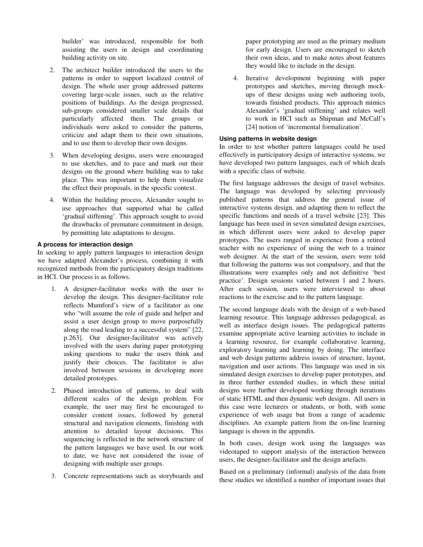builder' was introduced, responsible for both assisting the users in design and coordinating building activity on site.

- 2. The architect builder introduced the users to the patterns in order to support localized control of design. The whole user group addressed patterns covering large-scale issues, such as the relative positions of buildings. As the design progressed, sub-groups considered smaller scale details that particularly affected them. The groups or individuals were asked to consider the patterns, criticize and adapt them to their own situations, and to use them to develop their own designs.
- 3. When developing designs, users were encouraged to use sketches, and to pace and mark out their designs on the ground where building was to take place. This was important to help them visualize the effect their proposals, in the specific context.
- 4. Within the building process, Alexander sought to use approaches that supported what he called 'gradual stiffening'. This approach sought to avoid the drawbacks of premature commitment in design, by permitting late adaptations to designs.

# **A process for interaction design**

In seeking to apply pattern languages to interaction design we have adapted Alexander's process, combining it with recognized methods from the participatory design traditions in HCI. Our process is as follows.

- 1. A designer-facilitator works with the user to develop the design. This designer-facilitator role reflects Mumford's view of a facilitator as one who "will assume the role of guide and helper and assist a user design group to move purposefully along the road leading to a successful system" [22, p.263]. Our designer-facilitator was actively involved with the users during paper prototyping asking questions to make the users think and justify their choices. The facilitator is also involved between sessions in developing more detailed prototypes.
- 2. Phased introduction of patterns, to deal with different scales of the design problem. For example, the user may first be encouraged to consider content issues, followed by general structural and navigation elements, finishing with attention to detailed layout decisions. This sequencing is reflected in the network structure of the pattern languages we have used. In our work to date, we have not considered the issue of designing with multiple user groups.
- 3. Concrete representations such as storyboards and

paper prototyping are used as the primary medium for early design. Users are encouraged to sketch their own ideas, and to make notes about features they would like to include in the design.

4. Iterative development beginning with paper prototypes and sketches, moving through mockups of these designs using web authoring tools, towards finished products. This approach mimics Alexander's 'gradual stiffening' and relates well to work in HCI such as Shipman and McCall's [24] notion of 'incremental formalization'.

# **Using patterns in website design**

In order to test whether pattern languages could be used effectively in participatory design of interactive systems, we have developed two pattern languages, each of which deals with a specific class of website.

The first language addresses the design of travel websites. The language was developed by selecting previously published patterns that address the general issue of interactive systems design, and adapting them to reflect the specific functions and needs of a travel website [23]. This language has been used in seven simulated design exercises, in which different users were asked to develop paper prototypes. The users ranged in experience from a retired teacher with no experience of using the web to a trainee web designer. At the start of the session, users were told that following the patterns was not compulsory, and that the illustrations were examples only and not definitive 'best practice'. Design sessions varied between 1 and 2 hours. After each session, users were interviewed to about reactions to the exercise and to the pattern language.

The second language deals with the design of a web-based learning resource. This language addresses pedagogical, as well as interface design issues. The pedagogical patterns examine appropriate active learning activities to include in a learning resource, for example collaborative learning, exploratory learning and learning by doing. The interface and web design patterns address issues of structure, layout, navigation and user actions. This language was used in six simulated design exercises to develop paper prototypes, and in three further extended studies, in which these initial designs were further developed working through iterations of static HTML and then dynamic web designs. All users in this case were lecturers or students, or both, with some experience of web usage but from a range of academic disciplines. An example pattern from the on-line learning language is shown in the appendix.

In both cases, design work using the languages was videotaped to support analysis of the interaction between users, the designer-facilitator and the design artefacts.

Based on a preliminary (informal) analysis of the data from these studies we identified a number of important issues that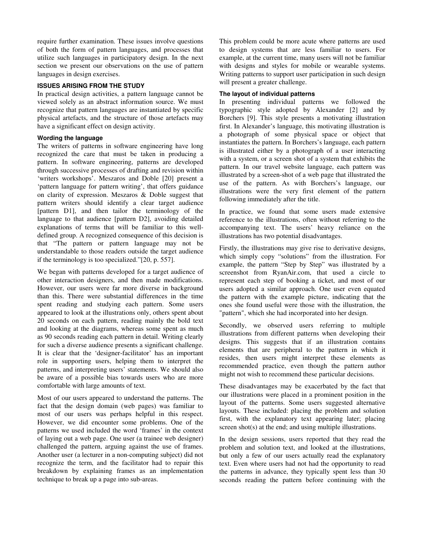require further examination. These issues involve questions of both the form of pattern languages, and processes that utilize such languages in participatory design. In the next section we present our observations on the use of pattern languages in design exercises.

# **ISSUES ARISING FROM THE STUDY**

In practical design activities, a pattern language cannot be viewed solely as an abstract information source. We must recognize that pattern languages are instantiated by specific physical artefacts, and the structure of those artefacts may have a significant effect on design activity.

# **Wording the language**

The writers of patterns in software engineering have long recognized the care that must be taken in producing a pattern. In software engineering, patterns are developed through successive processes of drafting and revision within 'writers workshops'. Meszaros and Doble [20] present a 'pattern language for pattern writing', that offers guidance on clarity of expression. Meszaros & Doble suggest that pattern writers should identify a clear target audience [pattern D1], and then tailor the terminology of the language to that audience [pattern D2], avoiding detailed explanations of terms that will be familiar to this welldefined group. A recognized consequence of this decision is that "The pattern or pattern language may not be understandable to those readers outside the target audience if the terminology is too specialized."[20, p. 557].

We began with patterns developed for a target audience of other interaction designers, and then made modifications. However, our users were far more diverse in background than this. There were substantial differences in the time spent reading and studying each pattern. Some users appeared to look at the illustrations only, others spent about 20 seconds on each pattern, reading mainly the bold text and looking at the diagrams, whereas some spent as much as 90 seconds reading each pattern in detail. Writing clearly for such a diverse audience presents a significant challenge. It is clear that the 'designer-facilitator' has an important role in supporting users, helping them to interpret the patterns, and interpreting users' statements. We should also be aware of a possible bias towards users who are more comfortable with large amounts of text.

Most of our users appeared to understand the patterns. The fact that the design domain (web pages) was familiar to most of our users was perhaps helpful in this respect. However, we did encounter some problems. One of the patterns we used included the word 'frames' in the context of laying out a web page. One user (a trainee web designer) challenged the pattern, arguing against the use of frames. Another user (a lecturer in a non-computing subject) did not recognize the term, and the facilitator had to repair this breakdown by explaining frames as an implementation technique to break up a page into sub-areas.

This problem could be more acute where patterns are used to design systems that are less familiar to users. For example, at the current time, many users will not be familiar with designs and styles for mobile or wearable systems. Writing patterns to support user participation in such design will present a greater challenge.

# **The layout of individual patterns**

In presenting individual patterns we followed the typographic style adopted by Alexander [2] and by Borchers [9]. This style presents a motivating illustration first. In Alexander's language, this motivating illustration is a photograph of some physical space or object that instantiates the pattern. In Borchers's language, each pattern is illustrated either by a photograph of a user interacting with a system, or a screen shot of a system that exhibits the pattern. In our travel website language, each pattern was illustrated by a screen-shot of a web page that illustrated the use of the pattern. As with Borchers's language, our illustrations were the very first element of the pattern following immediately after the title.

In practice, we found that some users made extensive reference to the illustrations, often without referring to the accompanying text. The users' heavy reliance on the illustrations has two potential disadvantages.

Firstly, the illustrations may give rise to derivative designs, which simply copy "solutions" from the illustration. For example, the pattern "Step by Step" was illustrated by a screenshot from RyanAir.com, that used a circle to represent each step of booking a ticket, and most of our users adopted a similar approach. One user even equated the pattern with the example picture, indicating that the ones she found useful were those with the illustration, the "pattern", which she had incorporated into her design.

Secondly, we observed users referring to multiple illustrations from different patterns when developing their designs. This suggests that if an illustration contains elements that are peripheral to the pattern in which it resides, then users might interpret these elements as recommended practice, even though the pattern author might not wish to recommend these particular decisions.

These disadvantages may be exacerbated by the fact that our illustrations were placed in a prominent position in the layout of the patterns. Some users suggested alternative layouts. These included: placing the problem and solution first, with the explanatory text appearing later; placing screen shot(s) at the end; and using multiple illustrations.

In the design sessions, users reported that they read the problem and solution text, and looked at the illustrations, but only a few of our users actually read the explanatory text. Even where users had not had the opportunity to read the patterns in advance, they typically spent less than 30 seconds reading the pattern before continuing with the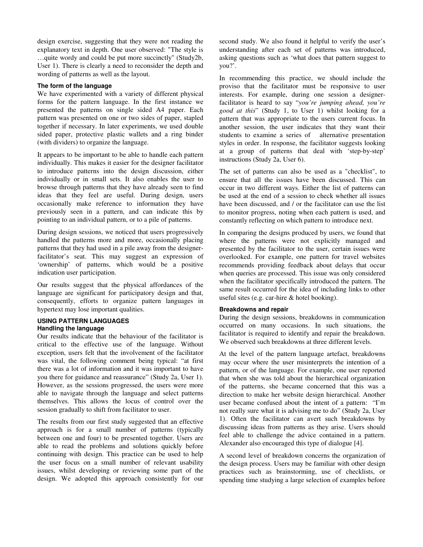design exercise, suggesting that they were not reading the explanatory text in depth. One user observed: "The style is …quite wordy and could be put more succinctly" (Study2b, User 1). There is clearly a need to reconsider the depth and wording of patterns as well as the layout.

# **The form of the language**

We have experimented with a variety of different physical forms for the pattern language. In the first instance we presented the patterns on single sided A4 paper. Each pattern was presented on one or two sides of paper, stapled together if necessary. In later experiments, we used double sided paper, protective plastic wallets and a ring binder (with dividers) to organize the language.

It appears to be important to be able to handle each pattern individually. This makes it easier for the designer facilitator to introduce patterns into the design discussion, either individually or in small sets. It also enables the user to browse through patterns that they have already seen to find ideas that they feel are useful. During design, users occasionally make reference to information they have previously seen in a pattern, and can indicate this by pointing to an individual pattern, or to a pile of patterns.

During design sessions, we noticed that users progressively handled the patterns more and more, occasionally placing patterns that they had used in a pile away from the designerfacilitator's seat. This may suggest an expression of 'ownership' of patterns, which would be a positive indication user participation.

Our results suggest that the physical affordances of the language are significant for participatory design and that, consequently, efforts to organize pattern languages in hypertext may lose important qualities.

#### **USING PATTERN LANGUAGES Handling the language**

Our results indicate that the behaviour of the facilitator is critical to the effective use of the language. Without exception, users felt that the involvement of the facilitator was vital, the following comment being typical: "at first there was a lot of information and it was important to have you there for guidance and reassurance" (Study 2a, User 1). However, as the sessions progressed, the users were more able to navigate through the language and select patterns themselves. This allows the locus of control over the session gradually to shift from facilitator to user.

The results from our first study suggested that an effective approach is for a small number of patterns (typically between one and four) to be presented together. Users are able to read the problems and solutions quickly before continuing with design. This practice can be used to help the user focus on a small number of relevant usability issues, whilst developing or reviewing some part of the design. We adopted this approach consistently for our second study. We also found it helpful to verify the user's understanding after each set of patterns was introduced, asking questions such as 'what does that pattern suggest to you?'.

In recommending this practice, we should include the proviso that the facilitator must be responsive to user interests. For example, during one session a designerfacilitator is heard to say "*you're jumping ahead, you're good at this*" (Study 1, to User 1) whilst looking for a pattern that was appropriate to the users current focus. In another session, the user indicates that they want their students to examine a series of alternative presentation styles in order. In response, the facilitator suggests looking at a group of patterns that deal with 'step-by-step' instructions (Study 2a, User 6).

The set of patterns can also be used as a "checklist", to ensure that all the issues have been discussed. This can occur in two different ways. Either the list of patterns can be used at the end of a session to check whether all issues have been discussed, and / or the facilitator can use the list to monitor progress, noting when each pattern is used, and constantly reflecting on which pattern to introduce next.

In comparing the designs produced by users, we found that where the patterns were not explicitly managed and presented by the facilitator to the user, certain issues were overlooked. For example, one pattern for travel websites recommends providing feedback about delays that occur when queries are processed. This issue was only considered when the facilitator specifically introduced the pattern. The same result occurred for the idea of including links to other useful sites (e.g. car-hire & hotel booking).

#### **Breakdowns and repair**

During the design sessions, breakdowns in communication occurred on many occasions. In such situations, the facilitator is required to identify and repair the breakdown. We observed such breakdowns at three different levels.

At the level of the pattern language artefact, breakdowns may occur where the user misinterprets the intention of a pattern, or of the language. For example, one user reported that when she was told about the hierarchical organization of the patterns, she became concerned that this was a direction to make her website design hierarchical. Another user became confused about the intent of a pattern: "I'm not really sure what it is advising me to do" (Study 2a, User 1). Often the facilitator can avert such breakdowns by discussing ideas from patterns as they arise. Users should feel able to challenge the advice contained in a pattern. Alexander also encouraged this type of dialogue [4].

A second level of breakdown concerns the organization of the design process. Users may be familiar with other design practices such as brainstorming, use of checklists, or spending time studying a large selection of examples before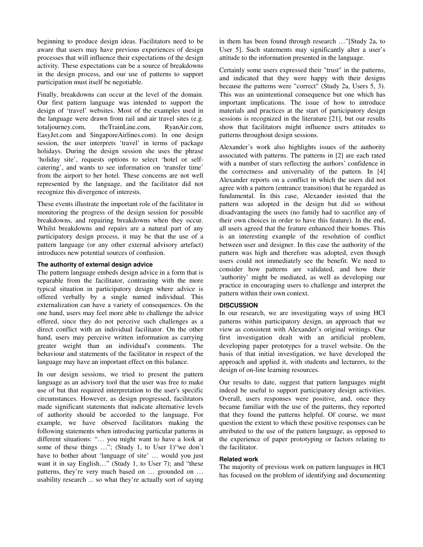beginning to produce design ideas. Facilitators need to be aware that users may have previous experiences of design processes that will influence their expectations of the design activity. These expectations can be a source of breakdowns in the design process, and our use of patterns to support participation must itself be negotiable.

Finally, breakdowns can occur at the level of the domain. Our first pattern language was intended to support the design of 'travel' websites. Most of the examples used in the language were drawn from rail and air travel sites (e.g. totaljourney.com, theTrainLine.com, RyanAir.com, EasyJet.com and SingaporeAirlines.com). In one design session, the user interprets 'travel' in terms of package holidays. During the design session she uses the phrase 'holiday site', requests options to select 'hotel or selfcatering', and wants to see information on 'transfer time' from the airport to her hotel. These concerns are not well represented by the language, and the facilitator did not recognize this divergence of interests.

These events illustrate the important role of the facilitator in monitoring the progress of the design session for possible breakdowns, and repairing breakdowns when they occur. Whilst breakdowns and repairs are a natural part of any participatory design process, it may be that the use of a pattern language (or any other external advisory artefact) introduces new potential sources of confusion.

#### **The authority of external design advice**

The pattern language embeds design advice in a form that is separable from the facilitator, contrasting with the more typical situation in participatory design where advice is offered verbally by a single named individual. This externalization can have a variety of consequences. On the one hand, users may feel more able to challenge the advice offered, since they do not perceive such challenges as a direct conflict with an individual facilitator. On the other hand, users may perceive written information as carrying greater weight than an individual's comments. The behaviour and statements of the facilitator in respect of the language may have an important effect on this balance.

In our design sessions, we tried to present the pattern language as an advisory tool that the user was free to make use of but that required interpretation to the user's specific circumstances. However, as design progressed, facilitators made significant statements that indicate alternative levels of authority should be accorded to the language. For example, we have observed facilitators making the following statements when introducing particular patterns in different situations: "… you might want to have a look at some of these things …"; (Study 1, to User 1)"we don't have to bother about 'language of site' … would you just want it in say English…" (Study 1, to User 7); and "these patterns, they're very much based on … grounded on … usability research ... so what they're actually sort of saying in them has been found through research …"[Study 2a, to User 5]. Such statements may significantly alter a user's attitude to the information presented in the language.

Certainly some users expressed their "trust" in the patterns, and indicated that they were happy with their designs because the patterns were "correct" (Study 2a, Users 5, 3). This was an unintentional consequence but one which has important implications. The issue of how to introduce materials and practices at the start of participatory design sessions is recognized in the literature [21], but our results show that facilitators might influence users attitudes to patterns throughout design sessions.

Alexander's work also highlights issues of the authority associated with patterns. The patterns in [2] are each rated with a number of stars reflecting the authors' confidence in the correctness and universality of the pattern. In [4] Alexander reports on a conflict in which the users did not agree with a pattern (entrance transition) that he regarded as fundamental. In this case, Alexander insisted that the pattern was adopted in the design but did so without disadvantaging the users (no family had to sacrifice any of their own choices in order to have this feature). In the end, all users agreed that the feature enhanced their homes. This is an interesting example of the resolution of conflict between user and designer. In this case the authority of the pattern was high and therefore was adopted, even though users could not immediately see the benefit. We need to consider how patterns are validated, and how their 'authority' might be mediated, as well as developing our practice in encouraging users to challenge and interpret the pattern within their own context.

#### **DISCUSSION**

In our research, we are investigating ways of using HCI patterns within participatory design, an approach that we view as consistent with Alexander's original writings. Our first investigation dealt with an artificial problem, developing paper prototypes for a travel website. On the basis of that initial investigation, we have developed the approach and applied it, with students and lecturers, to the design of on-line learning resources.

Our results to date, suggest that pattern languages might indeed be useful to support participatory design activities. Overall, users responses were positive, and, once they became familiar with the use of the patterns, they reported that they found the patterns helpful. Of course, we must question the extent to which these positive responses can be attributed to the use of the pattern language, as opposed to the experience of paper prototyping or factors relating to the facilitator.

### **Related work**

The majority of previous work on pattern languages in HCI has focused on the problem of identifying and documenting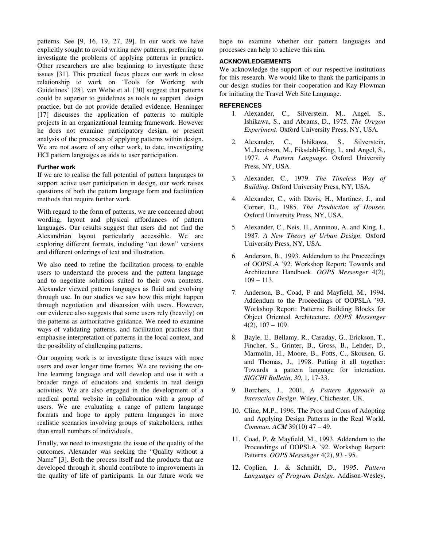patterns. See [9, 16, 19, 27, 29]. In our work we have explicitly sought to avoid writing new patterns, preferring to investigate the problems of applying patterns in practice. Other researchers are also beginning to investigate these issues [31]. This practical focus places our work in close relationship to work on 'Tools for Working with Guidelines' [28]. van Welie et al. [30] suggest that patterns could be superior to guidelines as tools to support design practice, but do not provide detailed evidence. Henninger [17] discusses the application of patterns to multiple projects in an organizational learning framework. However he does not examine participatory design, or present analysis of the processes of applying patterns within design. We are not aware of any other work, to date, investigating HCI pattern languages as aids to user participation.

#### **Further work**

If we are to realise the full potential of pattern languages to support active user participation in design, our work raises questions of both the pattern language form and facilitation methods that require further work.

With regard to the form of patterns, we are concerned about wording, layout and physical affordances of pattern languages. Our results suggest that users did not find the Alexandrian layout particularly accessible. We are exploring different formats, including "cut down" versions and different orderings of text and illustration.

We also need to refine the facilitation process to enable users to understand the process and the pattern language and to negotiate solutions suited to their own contexts. Alexander viewed pattern languages as fluid and evolving through use. In our studies we saw how this might happen through negotiation and discussion with users. However, our evidence also suggests that some users rely (heavily) on the patterns as authoritative guidance. We need to examine ways of validating patterns, and facilitation practices that emphasise interpretation of patterns in the local context, and the possibility of challenging patterns.

Our ongoing work is to investigate these issues with more users and over longer time frames. We are revising the online learning language and will develop and use it with a broader range of educators and students in real design activities. We are also engaged in the development of a medical portal website in collaboration with a group of users. We are evaluating a range of pattern language formats and hope to apply pattern languages in more realistic scenarios involving groups of stakeholders, rather than small numbers of individuals.

Finally, we need to investigate the issue of the quality of the outcomes. Alexander was seeking the "Quality without a Name" [3]. Both the process itself and the products that are developed through it, should contribute to improvements in the quality of life of participants. In our future work we hope to examine whether our pattern languages and processes can help to achieve this aim.

# **ACKNOWLEDGEMENTS**

We acknowledge the support of our respective institutions for this research. We would like to thank the participants in our design studies for their cooperation and Kay Plowman for initiating the Travel Web Site Language.

# **REFERENCES**

- 1. Alexander, C., Silverstein, M., Angel, S., Ishikawa, S., and Abrams, D., 1975. *The Oregon Experiment*. Oxford University Press, NY, USA.
- 2. Alexander, C., Ishikawa, S., Silverstein, M.,Jacobson, M., Fiksdahl-King, I., and Angel, S., 1977. *A Pattern Language*. Oxford University Press, NY, USA.
- 3. Alexander, C., 1979. *The Timeless Way of Building*. Oxford University Press, NY, USA.
- 4. Alexander, C., with Davis, H., Martinez, J., and Corner, D., 1985. *The Production of Houses*. Oxford University Press, NY, USA.
- 5. Alexander, C., Neis, H., Anninou, A. and King, I., 1987. *A New Theory of Urban Design*. Oxford University Press, NY, USA.
- 6. Anderson, B., 1993. Addendum to the Proceedings of OOPSLA '92. Workshop Report: Towards and Architecture Handbook. *OOPS Messenger* 4(2),  $109 - 113.$
- 7. Anderson, B., Coad, P and Mayfield, M., 1994. Addendum to the Proceedings of OOPSLA '93. Workshop Report: Patterns: Building Blocks for Object Oriented Architecture. *OOPS Messenger*  $4(2)$ ,  $107 - 109$ .
- 8. Bayle, E., Bellamy, R., Casaday, G., Erickson, T., Fincher, S., Grinter, B., Gross, B., Lehder, D., Marmolin, H., Moore, B., Potts, C., Skousen, G. and Thomas, J., 1998. Putting it all together: Towards a pattern language for interaction. *SIGCHI Bulletin*, *30*, 1, 17-33.
- 9. Borchers, J., 2001. *A Pattern Approach to Interaction Design*. Wiley, Chichester, UK.
- 10. Cline, M.P., 1996. The Pros and Cons of Adopting and Applying Design Patterns in the Real World. *Commun. ACM* 39(10) 47 – 49.
- 11. Coad, P. & Mayfield, M., 1993. Addendum to the Proceedings of OOPSLA '92. Workshop Report: Patterns. *OOPS Messenger* 4(2), 93 - 95.
- 12. Coplien, J. & Schmidt, D., 1995. *Pattern Languages of Program Design*. Addison-Wesley,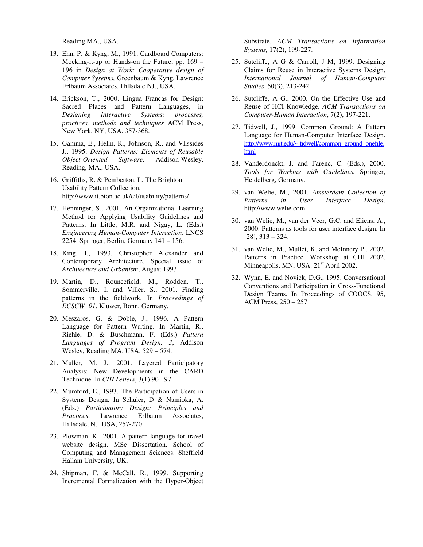Reading MA., USA.

- 13. Ehn, P. & Kyng, M., 1991. Cardboard Computers: Mocking-it-up or Hands-on the Future, pp. 169 – 196 in *Design at Work: Cooperative design of Computer Sysetms,* Greenbaum & Kyng, Lawrence Erlbaum Associates, Hillsdale NJ., USA.
- 14. Erickson, T., 2000. Lingua Francas for Design: Sacred Places and Pattern Languages, in *Designing Interactive Systems: processes, practices, methods and techniques* ACM Press, New York, NY, USA. 357-368.
- 15. Gamma, E., Helm, R., Johnson, R., and Vlissides J., 1995. *Design Patterns: Elements of Reusable Object-Oriented Software.* Addison-Wesley, Reading, MA., USA.
- 16. Griffiths, R. & Pemberton, L. The Brighton Usability Pattern Collection. http://www.it.bton.ac.uk/cil/usability/patterns/
- 17. Henninger, S., 2001. An Organizational Learning Method for Applying Usability Guidelines and Patterns. In Little, M.R. and Nigay, L. (Eds.) *Engineering Human-Computer Interaction*. LNCS 2254. Springer, Berlin, Germany 141 – 156.
- 18. King, I., 1993. Christopher Alexander and Contemporary Architecture. Special issue of *Architecture and Urbanism*, August 1993.
- 19. Martin, D., Rouncefield, M., Rodden, T., Sommerville, I. and Viller, S., 2001. Finding patterns in the fieldwork, In *Proceedings of ECSCW '01*. Kluwer, Bonn, Germany.
- 20. Meszaros, G. & Doble, J., 1996. A Pattern Language for Pattern Writing. In Martin, R., Riehle, D. & Buschmann, F. (Eds.) *Pattern Languages of Program Design, 3*, Addison Wesley, Reading MA. USA. 529 – 574.
- 21. Muller, M. J., 2001. Layered Participatory Analysis: New Developments in the CARD Technique. In *CHI Letters*, 3(1) 90 - 97.
- 22. Mumford, E., 1993. The Participation of Users in Systems Design. In Schuler, D & Namioka, A. (Eds.) *Participatory Design: Principles and Practices*, Lawrence Erlbaum Associates, Hillsdale, NJ. USA, 257-270.
- 23. Plowman, K., 2001. A pattern language for travel website design. MSc Dissertation. School of Computing and Management Sciences. Sheffield Hallam University, UK.
- 24. Shipman, F. & McCall, R., 1999. Supporting Incremental Formalization with the Hyper-Object

Substrate. *ACM Transactions on Information Systems,* 17(2), 199-227.

- 25. Sutcliffe, A G & Carroll, J M, 1999. Designing Claims for Reuse in Interactive Systems Design, *International Journal of Human-Computer Studies*, 50(3), 213-242.
- 26. Sutcliffe, A G., 2000. On the Effective Use and Reuse of HCI Knowledge*, ACM Transactions on Computer-Human Interaction*, 7(2), 197-221.
- 27. Tidwell, J., 1999. Common Ground: A Pattern Language for Human-Computer Interface Design. http://www.mit.edu/~jtidwell/common\_ground\_onefile. html
- 28. Vanderdonckt, J. and Farenc, C. (Eds.), 2000. *Tools for Working with Guidelines.* Springer, Heidelberg, Germany.
- 29. van Welie, M., 2001. *Amsterdam Collection of Patterns in User Interface Design*. http://www.welie.com
- 30. van Welie, M., van der Veer, G.C. and Eliens. A., 2000. Patterns as tools for user interface design. In [28], 313 – 324.
- 31. van Welie, M., Mullet, K. and McInnery P., 2002. Patterns in Practice. Workshop at CHI 2002. Minneapolis, MN, USA. 21<sup>st</sup> April 2002.
- 32. Wynn, E. and Novick, D.G., 1995. Conversational Conventions and Participation in Cross-Functional Design Teams. In Proceedings of COOCS, 95, ACM Press, 250 – 257.